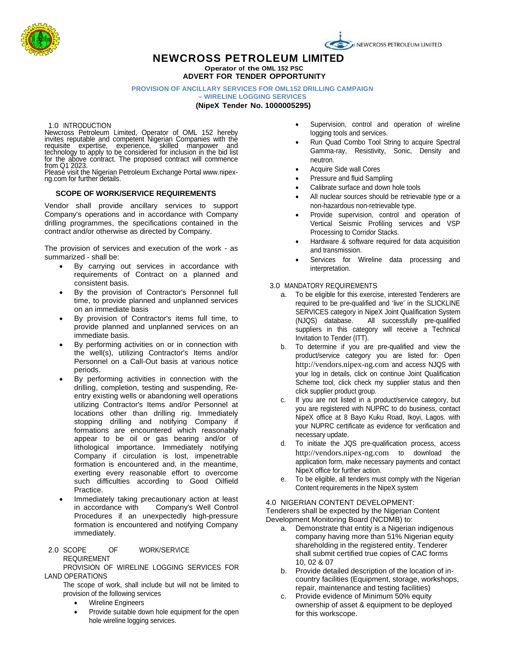

# **NEWCROSS PETROLEUM LIMITED Operator of the OML 152 PSC**

**ADVERT FOR TENDER OPPORTUNITY**

# **PROVISION OF ANCILLARY SERVICES FOR OML152 DRILLING CAMPAIGN**

**– WIRELINE LOGGING SERVICES**

**(NipeX Tender No. 1000005295)**

1.0 INTRODUCTION

Newcross Petroleum Limited, Operator of OML 152 hereby invites reputable and competent Nigerian Companies with the requisite expertise, experience, skilled manpower and technology to apply to be considered for inclusion in the bid list

for the above contract. The proposed contract will commence<br>from Q1 2023.<br>Please visit the Nigerian Petroleum Exchange Portal www.nipex-<br>ng.com for further details.

## **SCOPE OF WORK/SERVICE REQUIREMENTS**

Vendor shall provide ancillary services to support Company's operations and in accordance with Company drilling programmes, the specifications contained in the contract and/or otherwise as directed by Company.

The provision of services and execution of the work - as summarized - shall be:

- By carrying out services in accordance with requirements of Contract on a planned and consistent basis.
- By the provision of Contractor's Personnel full time, to provide planned and unplanned services on an immediate basis
- By provision of Contractor's items full time, to provide planned and unplanned services on an immediate basis.
- By performing activities on or in connection with the well(s), utilizing Contractor's Items and/or Personnel on a Call-Out basis at various notice periods.
- By performing activities in connection with the drilling, completion, testing and suspending, Reentry existing wells or abandoning well operations utilizing Contractor's Items and/or Personnel at locations other than drilling rig. Immediately stopping drilling and notifying Company if formations are encountered which reasonably appear to be oil or gas bearing and/or of lithological importance. Immediately notifying Company if circulation is lost, impenetrable formation is encountered and, in the meantime, exerting every reasonable effort to overcome such difficulties according to Good Oilfield Practice.
- Immediately taking precautionary action at least<br>in accordance with Company's Well Control Company's Well Control Procedures if an unexpectedly high-pressure formation is encountered and notifying Company immediately.
- 2.0 SCOPE OF WORK/SERVICE REQUIREMENT

PROVISION OF WIRELINE LOGGING SERVICES FOR LAND OPERATIONS

The scope of work, shall include but will not be limited to provision of the following services

- Wireline Engineers
- Provide suitable down hole equipment for the open hole wireline logging services.
- Supervision, control and operation of wireline logging tools and services.
- Run Quad Combo Tool String to acquire Spectral Gamma-ray, Resistivity, Sonic, Density and neutron.
- Acquire Side wall Cores
- Pressure and fluid Sampling
- Calibrate surface and down hole tools
- All nuclear sources should be retrievable type or a non-hazardous non-retrievable type.
- Provide supervision, control and operation of Vertical Seismic Profiling services and VSP Processing to Corridor Stacks.
- Hardware & software required for data acquisition and transmission.
- Services for Wireline data processing and interpretation.

### 3.0 MANDATORY REQUIREMENTS

- a. To be eligible for this exercise, interested Tenderers are required to be pre-qualified and 'live' in the SLICKLINE SERVICES category in NipeX Joint Qualification System<br>(NJQS) database. All successfully pre-qualified All successfully pre-qualified suppliers in this category will receive a Technical Invitation to Tender (ITT).
- b. To determine if you are pre-qualified and view the product/service category you are listed for: Open [http://vendors.nipex-ng.com](http://vendors.nipex-ng.com/) and access NJQS with your log in details, click on continue Joint Qualification Scheme tool, click check my supplier status and then click supplier product group.
- c. If you are not listed in a product/service category, but you are registered with NUPRC to do business, contact NipeX office at 8 Bayo Kuku Road, Ikoyi, Lagos. with your NUPRC certificate as evidence for verification and necessary update.
- d. To initiate the JQS pre-qualification process, access [http://vendors.nipex-ng.com](http://vendors.nipex-ng.com/) to download the application form, make necessary payments and contact NipeX office for further action.
- e. To be eligible, all tenders must comply with the Nigerian Content requirements in the NipeX system

#### 4.0 NIGERIAN CONTENT DEVELOPMENT:

Tenderers shall be expected by the Nigerian Content Development Monitoring Board (NCDMB) to:

- a. Demonstrate that entity is a Nigerian indigenous company having more than 51% Nigerian equity shareholding in the registered entity. Tenderer shall submit certified true copies of CAC forms 10, 02 & 07
- b. Provide detailed description of the location of incountry facilities (Equipment, storage, workshops, repair, maintenance and testing facilities)
- c. Provide evidence of Minimum 50% equity ownership of asset & equipment to be deployed for this workscope.